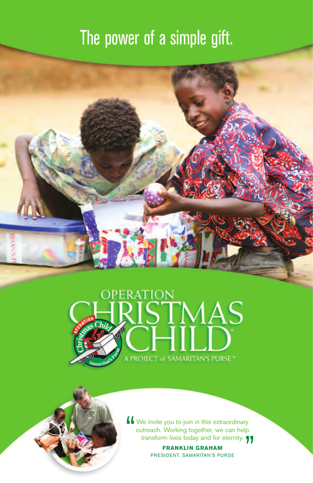## The power of a simple gift.





**FRANKLIN GRAHAM** PRESIDENT, SAMARITAN'S PURSE